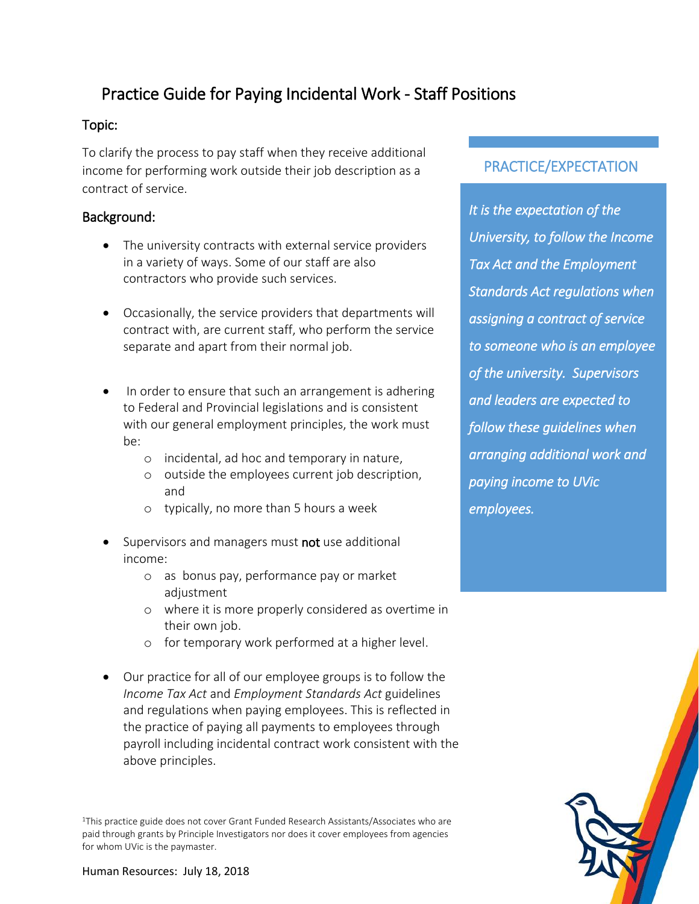# Practice Guide for Paying Incidental Work - Staff Positions

#### Topic:

To clarify the process to pay staff when they receive additional income for performing work outside their job description as a contract of service.

### Background:

- The university contracts with external service providers in a variety of ways. Some of our staff are also contractors who provide such services.
- Occasionally, the service providers that departments will contract with, are current staff, who perform the service separate and apart from their normal job.
- In order to ensure that such an arrangement is adhering to Federal and Provincial legislations and is consistent with our general employment principles, the work must be:
	- o incidental, ad hoc and temporary in nature,
	- o outside the employees current job description, and
	- o typically, no more than 5 hours a week
- Supervisors and managers must not use additional income:
	- o as bonus pay, performance pay or market adjustment
	- o where it is more properly considered as overtime in their own job.
	- o for temporary work performed at a higher level.
- Our practice for all of our employee groups is to follow the *Income Tax Act* and *Employment Standards Act* guidelines and regulations when paying employees. This is reflected in the practice of paying all payments to employees through payroll including incidental contract work consistent with the above principles.

<sup>1</sup>This practice guide does not cover Grant Funded Research Assistants/Associates who are paid through grants by Principle Investigators nor does it cover employees from agencies for whom UVic is the paymaster.

## PRACTICE/EXPECTATION

*It is the expectation of the University, to follow the Income Tax Act and the Employment Standards Act regulations when assigning a contract of service to someone who is an employee of the university. Supervisors and leaders are expected to follow these guidelines when arranging additional work and paying income to UVic employees.*